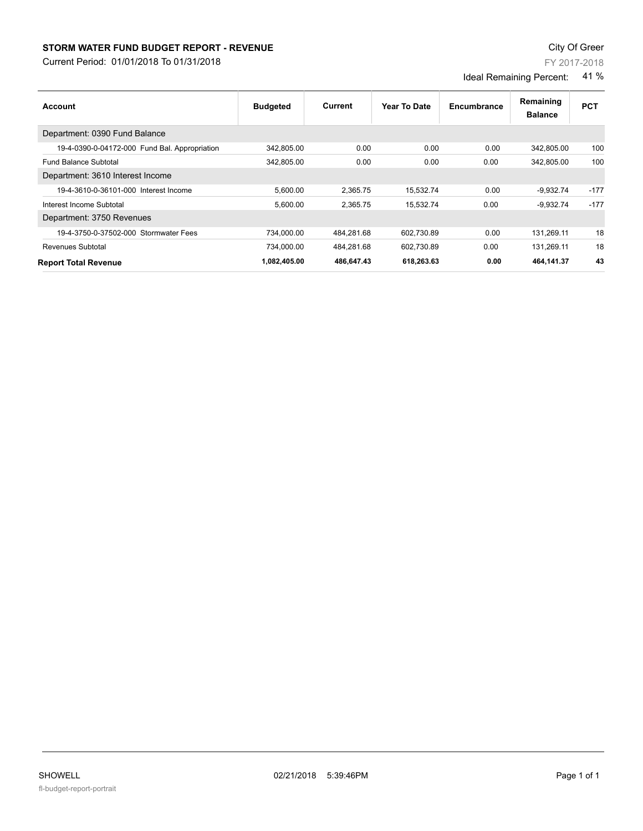## **STORM WATER FUND BUDGET REPORT - REVENUE CONTEXT AND REPORT ASSESSMENT OF A STORM WATER FUND BUDGET REPORT - REVENUE**

Current Period: 01/01/2018 To 01/31/2018

FY 2017-2018

Ideal Remaining Percent: 41 %

| Account                                       | <b>Budgeted</b> | Current    | Year To Date | Encumbrance | Remaining<br><b>Balance</b> | <b>PCT</b> |
|-----------------------------------------------|-----------------|------------|--------------|-------------|-----------------------------|------------|
| Department: 0390 Fund Balance                 |                 |            |              |             |                             |            |
| 19-4-0390-0-04172-000 Fund Bal. Appropriation | 342,805.00      | 0.00       | 0.00         | 0.00        | 342,805.00                  | 100        |
| <b>Fund Balance Subtotal</b>                  | 342,805.00      | 0.00       | 0.00         | 0.00        | 342.805.00                  | 100        |
| Department: 3610 Interest Income              |                 |            |              |             |                             |            |
| 19-4-3610-0-36101-000 Interest Income         | 5,600.00        | 2,365.75   | 15,532.74    | 0.00        | $-9,932.74$                 | $-177$     |
| Interest Income Subtotal                      | 5,600.00        | 2.365.75   | 15,532.74    | 0.00        | $-9,932.74$                 | $-177$     |
| Department: 3750 Revenues                     |                 |            |              |             |                             |            |
| 19-4-3750-0-37502-000 Stormwater Fees         | 734,000.00      | 484.281.68 | 602,730.89   | 0.00        | 131,269.11                  | 18         |
| Revenues Subtotal                             | 734.000.00      | 484.281.68 | 602.730.89   | 0.00        | 131.269.11                  | 18         |
| <b>Report Total Revenue</b>                   | 1,082,405.00    | 486,647.43 | 618,263.63   | 0.00        | 464,141.37                  | 43         |